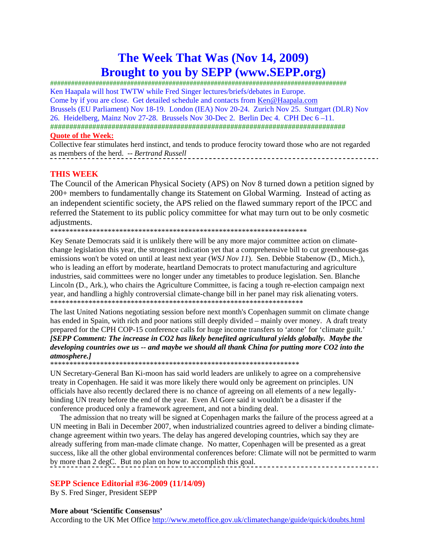## **The Week That Was (Nov 14, 2009) Brought to you by SEPP (www.SEPP.org)**

##################################################################################### Ken Haapala will host TWTW while Fred Singer lectures/briefs/debates in Europe. Come by if you are close. Get detailed schedule and contacts from Ken@Haapala.com Brussels (EU Parliament) Nov 18-19. London (IEA) Nov 20-24. Zurich Nov 25. Stuttgart (DLR) Nov 26. Heidelberg, Mainz Nov 27-28. Brussels Nov 30-Dec 2. Berlin Dec 4. CPH Dec 6 –11. ############################################################################# **Quote of the Week:**

Collective fear stimulates herd instinct, and tends to produce ferocity toward those who are not regarded as members of the herd. -- *Bertrand Russell* 

#### **THIS WEEK**

The Council of the American Physical Society (APS) on Nov 8 turned down a petition signed by 200+ members to fundamentally change its Statement on Global Warming. Instead of acting as an independent scientific society, the APS relied on the flawed summary report of the IPCC and referred the Statement to its public policy committee for what may turn out to be only cosmetic adjustments.

\*\*\*\*\*\*\*\*\*\*\*\*\*\*\*\*\*\*\*\*\*\*\*\*\*\*\*\*\*\*\*\*\*\*\*\*\*\*\*\*\*\*\*\*\*\*\*\*\*\*\*\*\*\*\*\*\*\*\*\*\*\*\*\*\*\*\*

Key Senate Democrats said it is unlikely there will be any more major committee action on climatechange legislation this year, the strongest indication yet that a comprehensive bill to cut greenhouse-gas emissions won't be voted on until at least next year (*WSJ Nov 11*). Sen. Debbie Stabenow (D., Mich.), who is leading an effort by moderate, heartland Democrats to protect manufacturing and agriculture industries, said committees were no longer under any timetables to produce legislation. Sen. Blanche Lincoln (D., Ark.), who chairs the Agriculture Committee, is facing a tough re-election campaign next year, and handling a highly controversial climate-change bill in her panel may risk alienating voters. \*\*\*\*\*\*\*\*\*\*\*\*\*\*\*\*\*\*\*\*\*\*\*\*\*\*\*\*\*\*\*\*\*\*\*\*\*\*\*\*\*\*\*\*\*\*\*\*\*\*\*\*\*\*\*\*\*\*\*\*\*\*\*\*\*\*

The last United Nations negotiating session before next month's Copenhagen summit on climate change has ended in Spain, with rich and poor nations still deeply divided – mainly over money. A draft treaty prepared for the CPH COP-15 conference calls for huge income transfers to 'atone' for 'climate guilt.' *[SEPP Comment: The increase in CO2 has likely benefited agricultural yields globally. Maybe the developing countries owe us -- and maybe we should all thank China for putting more CO2 into the atmosphere.]*

\*\*\*\*\*\*\*\*\*\*\*\*\*\*\*\*\*\*\*\*\*\*\*\*\*\*\*\*\*\*\*\*\*\*\*\*\*\*\*\*\*\*\*\*\*\*\*\*\*\*\*\*\*\*\*\*\*\*\*\*\*\*\*\*\*

UN Secretary-General Ban Ki-moon has said world leaders are unlikely to agree on a comprehensive treaty in Copenhagen. He said it was more likely there would only be agreement on principles. UN officials have also recently declared there is no chance of agreeing on all elements of a new legallybinding UN treaty before the end of the year. Even Al Gore said it wouldn't be a disaster if the conference produced only a framework agreement, and not a binding deal.

 The admission that no treaty will be signed at Copenhagen marks the failure of the process agreed at a UN meeting in Bali in December 2007, when industrialized countries agreed to deliver a binding climatechange agreement within two years. The delay has angered developing countries, which say they are already suffering from man-made climate change. No matter, Copenhagen will be presented as a great success, like all the other global environmental conferences before: Climate will not be permitted to warm by more than 2 degC. But no plan on how to accomplish this goal.

#### **SEPP Science Editorial #36-2009 (11/14/09)**

By S. Fred Singer, President SEPP

#### **More about 'Scientific Consensus'**

According to the UK Met Office http://www.metoffice.gov.uk/climatechange/guide/quick/doubts.html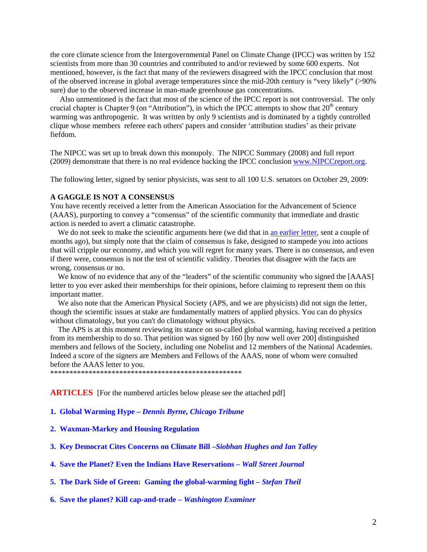the core climate science from the Intergovernmental Panel on Climate Change (IPCC) was written by 152 scientists from more than 30 countries and contributed to and/or reviewed by some 600 experts. Not mentioned, however, is the fact that many of the reviewers disagreed with the IPCC conclusion that most of the observed increase in global average temperatures since the mid-20th century is "very likely" (>90% sure) due to the observed increase in man-made greenhouse gas concentrations.

 Also unmentioned is the fact that most of the science of the IPCC report is not controversial. The only crucial chapter is Chapter 9 (on "Attribution"), in which the IPCC attempts to show that  $20<sup>th</sup>$  century warming was anthropogenic. It was written by only 9 scientists and is dominated by a tightly controlled clique whose members referee each others' papers and consider 'attribution studies' as their private fiefdom.

The NIPCC was set up to break down this monopoly. The NIPCC Summary (2008) and full report (2009) demonstrate that there is no real evidence backing the IPCC conclusion www.NIPCCreport.org.

The following letter, signed by senior physicists, was sent to all 100 U.S. senators on October 29, 2009:

#### **A GAGGLE IS NOT A CONSENSUS**

You have recently received a letter from the American Association for the Advancement of Science (AAAS), purporting to convey a "consensus" of the scientific community that immediate and drastic action is needed to avert a climatic catastrophe.

We do not seek to make the scientific arguments here (we did that in an earlier letter, sent a couple of months ago), but simply note that the claim of consensus is fake, designed to stampede you into actions that will cripple our economy, and which you will regret for many years. There is no consensus, and even if there were, consensus is not the test of scientific validity. Theories that disagree with the facts are wrong, consensus or no.

We know of no evidence that any of the "leaders" of the scientific community who signed the [AAAS] letter to you ever asked their memberships for their opinions, before claiming to represent them on this important matter.

 We also note that the American Physical Society (APS, and we are physicists) did not sign the letter, though the scientific issues at stake are fundamentally matters of applied physics. You can do physics without climatology, but you can't do climatology without physics.

 The APS is at this moment reviewing its stance on so-called global warming, having received a petition from its membership to do so. That petition was signed by 160 [by now well over 200] distinguished members and fellows of the Society, including one Nobelist and 12 members of the National Academies. Indeed a score of the signers are Members and Fellows of the AAAS, none of whom were consulted before the AAAS letter to you.

\*\*\*\*\*\*\*\*\*\*\*\*\*\*\*\*\*\*\*\*\*\*\*\*\*\*\*\*\*\*\*\*\*\*\*\*\*\*\*\*\*\*\*\*\*\*\*\*\*\*

**ARTICLES** [For the numbered articles below please see the attached pdf]

- **1. Global Warming Hype** *Dennis Byrne, Chicago Tribune*
- **2. Waxman-Markey and Housing Regulation**
- **3. Key Democrat Cites Concerns on Climate Bill –***Siobhan Hughes and Ian Talley*
- **4. Save the Planet? Even the Indians Have Reservations** *Wall Street Journal*
- **5. The Dark Side of Green: Gaming the global-warming fight** *Stefan Theil*
- **6. Save the planet? Kill cap-and-trade** *Washington Examiner*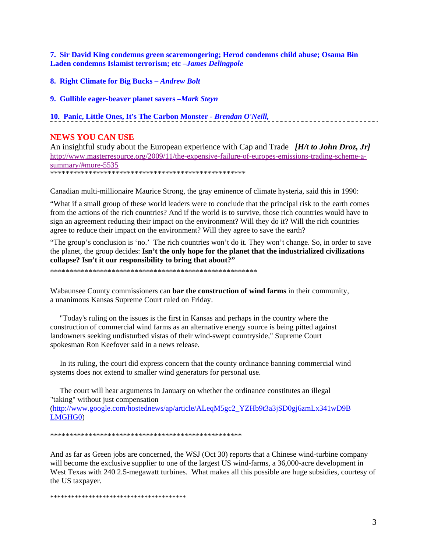**7. Sir David King condemns green scaremongering; Herod condemns child abuse; Osama Bin Laden condemns Islamist terrorism; etc –***James Delingpole* 

**8. Right Climate for Big Bucks –** *Andrew Bolt* 

**9. Gullible eager-beaver planet savers –***Mark Steyn*

**10. Panic, Little Ones, It's The Carbon Monster -** *Brendan O'Neill,*

#### **NEWS YOU CAN USE**

An insightful study about the European experience with Cap and Trade *[H/t to John Droz, Jr]* http://www.masterresource.org/2009/11/the-expensive-failure-of-europes-emissions-trading-scheme-asummary/#more-5535 \*\*\*\*\*\*\*\*\*\*\*\*\*\*\*\*\*\*\*\*\*\*\*\*\*\*\*\*\*\*\*\*\*\*\*\*\*\*\*\*\*\*\*\*\*\*\*\*\*\*\*

Canadian multi-millionaire Maurice Strong, the gray eminence of climate hysteria, said this in 1990:

"What if a small group of these world leaders were to conclude that the principal risk to the earth comes from the actions of the rich countries? And if the world is to survive, those rich countries would have to sign an agreement reducing their impact on the environment? Will they do it? Will the rich countries agree to reduce their impact on the environment? Will they agree to save the earth?

"The group's conclusion is 'no.' The rich countries won't do it. They won't change. So, in order to save the planet, the group decides: **Isn't the only hope for the planet that the industrialized civilizations collapse? Isn't it our responsibility to bring that about?"** 

\*\*\*\*\*\*\*\*\*\*\*\*\*\*\*\*\*\*\*\*\*\*\*\*\*\*\*\*\*\*\*\*\*\*\*\*\*\*\*\*\*\*\*\*\*\*\*\*\*\*\*\*\*\*

Wabaunsee County commissioners can **bar the construction of wind farms** in their community, a unanimous Kansas Supreme Court ruled on Friday.

 "Today's ruling on the issues is the first in Kansas and perhaps in the country where the construction of commercial wind farms as an alternative energy source is being pitted against landowners seeking undisturbed vistas of their wind-swept countryside," Supreme Court spokesman Ron Keefover said in a news release.

 In its ruling, the court did express concern that the county ordinance banning commercial wind systems does not extend to smaller wind generators for personal use.

 The court will hear arguments in January on whether the ordinance constitutes an illegal "taking" without just compensation (http://www.google.com/hostednews/ap/article/ALeqM5gc2\_YZHb9t3a3jSD0gj6zmLx341wD9B LMGHG0)

\*\*\*\*\*\*\*\*\*\*\*\*\*\*\*\*\*\*\*\*\*\*\*\*\*\*\*\*\*\*\*\*\*\*\*\*\*\*\*\*\*\*\*\*\*\*\*\*\*\*

And as far as Green jobs are concerned, the WSJ (Oct 30) reports that a Chinese wind-turbine company will become the exclusive supplier to one of the largest US wind-farms, a 36,000-acre development in West Texas with 240 2.5-megawatt turbines. What makes all this possible are huge subsidies, courtesy of the US taxpayer.

\*\*\*\*\*\*\*\*\*\*\*\*\*\*\*\*\*\*\*\*\*\*\*\*\*\*\*\*\*\*\*\*\*\*\*\*\*\*\*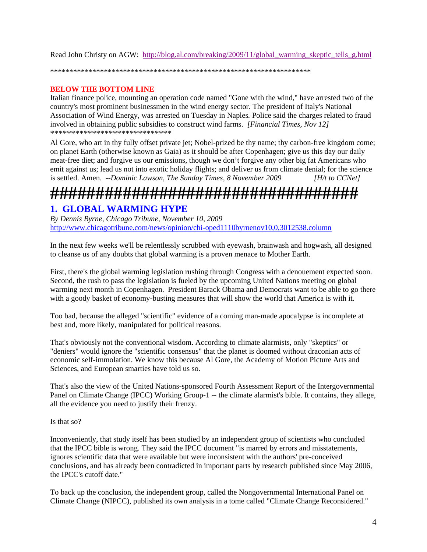Read John Christy on AGW: http://blog.al.com/breaking/2009/11/global\_warming\_skeptic\_tells\_g.html

\*\*\*\*\*\*\*\*\*\*\*\*\*\*\*\*\*\*\*\*\*\*\*\*\*\*\*\*\*\*\*\*\*\*\*\*\*\*\*\*\*\*\*\*\*\*\*\*\*\*\*\*\*\*\*\*\*\*\*\*\*\*\*\*\*\*\*\*

#### **BELOW THE BOTTOM LINE**

Italian finance police, mounting an operation code named "Gone with the wind," have arrested two of the country's most prominent businessmen in the wind energy sector. The president of Italy's National Association of Wind Energy, was arrested on Tuesday in Naples*.* Police said the charges related to fraud involved in obtaining public subsidies to construct wind farms. *[Financial Times, Nov 12]*  \*\*\*\*\*\*\*\*\*\*\*\*\*\*\*\*\*\*\*\*\*\*\*\*\*\*\*\*\*

Al Gore, who art in thy fully offset private jet; Nobel-prized be thy name; thy carbon-free kingdom come; on planet Earth (otherwise known as Gaia) as it should be after Copenhagen; give us this day our daily meat-free diet; and forgive us our emissions, though we don't forgive any other big fat Americans who emit against us; lead us not into exotic holiday flights; and deliver us from climate denial; for the science is settled. Amen. --*Dominic Lawson, The Sunday Times, 8 November 2009 [H/t to CCNet]*

# **##################################**

## **1. GLOBAL WARMING HYPE**

*By Dennis Byrne, Chicago Tribune, November 10, 2009*  http://www.chicagotribune.com/news/opinion/chi-oped1110byrnenov10,0,3012538.column

In the next few weeks we'll be relentlessly scrubbed with eyewash, brainwash and hogwash, all designed to cleanse us of any doubts that global warming is a proven menace to Mother Earth.

First, there's the global warming legislation rushing through Congress with a denouement expected soon. Second, the rush to pass the legislation is fueled by the upcoming United Nations meeting on global warming next month in Copenhagen. President Barack Obama and Democrats want to be able to go there with a goody basket of economy-busting measures that will show the world that America is with it.

Too bad, because the alleged "scientific" evidence of a coming man-made apocalypse is incomplete at best and, more likely, manipulated for political reasons.

That's obviously not the conventional wisdom. According to climate alarmists, only "skeptics" or "deniers" would ignore the "scientific consensus" that the planet is doomed without draconian acts of economic self-immolation. We know this because Al Gore, the Academy of Motion Picture Arts and Sciences, and European smarties have told us so.

That's also the view of the United Nations-sponsored Fourth Assessment Report of the Intergovernmental Panel on Climate Change (IPCC) Working Group-1 -- the climate alarmist's bible. It contains, they allege, all the evidence you need to justify their frenzy.

#### Is that so?

Inconveniently, that study itself has been studied by an independent group of scientists who concluded that the IPCC bible is wrong. They said the IPCC document "is marred by errors and misstatements, ignores scientific data that were available but were inconsistent with the authors' pre-conceived conclusions, and has already been contradicted in important parts by research published since May 2006, the IPCC's cutoff date."

To back up the conclusion, the independent group, called the Nongovernmental International Panel on Climate Change (NIPCC), published its own analysis in a tome called "Climate Change Reconsidered."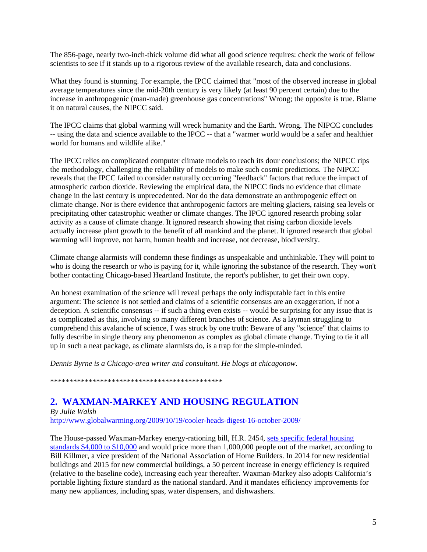The 856-page, nearly two-inch-thick volume did what all good science requires: check the work of fellow scientists to see if it stands up to a rigorous review of the available research, data and conclusions.

What they found is stunning. For example, the IPCC claimed that "most of the observed increase in global average temperatures since the mid-20th century is very likely (at least 90 percent certain) due to the increase in anthropogenic (man-made) greenhouse gas concentrations" Wrong; the opposite is true. Blame it on natural causes, the NIPCC said.

The IPCC claims that global warming will wreck humanity and the Earth. Wrong. The NIPCC concludes -- using the data and science available to the IPCC -- that a "warmer world would be a safer and healthier world for humans and wildlife alike."

The IPCC relies on complicated computer climate models to reach its dour conclusions; the NIPCC rips the methodology, challenging the reliability of models to make such cosmic predictions. The NIPCC reveals that the IPCC failed to consider naturally occurring "feedback" factors that reduce the impact of atmospheric carbon dioxide. Reviewing the empirical data, the NIPCC finds no evidence that climate change in the last century is unprecedented. Nor do the data demonstrate an anthropogenic effect on climate change. Nor is there evidence that anthropogenic factors are melting glaciers, raising sea levels or precipitating other catastrophic weather or climate changes. The IPCC ignored research probing solar activity as a cause of climate change. It ignored research showing that rising carbon dioxide levels actually increase plant growth to the benefit of all mankind and the planet. It ignored research that global warming will improve, not harm, human health and increase, not decrease, biodiversity.

Climate change alarmists will condemn these findings as unspeakable and unthinkable. They will point to who is doing the research or who is paying for it, while ignoring the substance of the research. They won't bother contacting Chicago-based Heartland Institute, the report's publisher, to get their own copy.

An honest examination of the science will reveal perhaps the only indisputable fact in this entire argument: The science is not settled and claims of a scientific consensus are an exaggeration, if not a deception. A scientific consensus -- if such a thing even exists -- would be surprising for any issue that is as complicated as this, involving so many different branches of science. As a layman struggling to comprehend this avalanche of science, I was struck by one truth: Beware of any "science" that claims to fully describe in single theory any phenomenon as complex as global climate change. Trying to tie it all up in such a neat package, as climate alarmists do, is a trap for the simple-minded.

*Dennis Byrne is a Chicago-area writer and consultant. He blogs at chicagonow.* 

\*\*\*\*\*\*\*\*\*\*\*\*\*\*\*\*\*\*\*\*\*\*\*\*\*\*\*\*\*\*\*\*\*\*\*\*\*\*\*\*\*\*\*\*\*

## **2. WAXMAN-MARKEY AND HOUSING REGULATION**

*By Julie Walsh*  http://www.globalwarming.org/2009/10/19/cooler-heads-digest-16-october-2009/

The House-passed Waxman-Markey energy-rationing bill, H.R. 2454, sets specific federal housing standards \$4,000 to \$10,000 and would price more than 1,000,000 people out of the market, according to Bill Killmer, a vice president of the National Association of Home Builders. In 2014 for new residential buildings and 2015 for new commercial buildings, a 50 percent increase in energy efficiency is required (relative to the baseline code), increasing each year thereafter. Waxman-Markey also adopts California's portable lighting fixture standard as the national standard. And it mandates efficiency improvements for many new appliances, including spas, water dispensers, and dishwashers.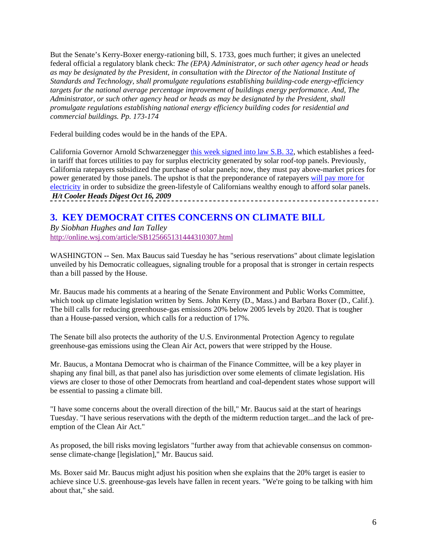But the Senate's Kerry-Boxer energy-rationing bill, S. 1733, goes much further; it gives an unelected federal official a regulatory blank check: *The (EPA) Administrator, or such other agency head or heads as may be designated by the President, in consultation with the Director of the National Institute of Standards and Technology, shall promulgate regulations establishing building-code energy-efficiency targets for the national average percentage improvement of buildings energy performance. And, The Administrator, or such other agency head or heads as may be designated by the President, shall promulgate regulations establishing national energy efficiency building codes for residential and commercial buildings. Pp. 173-174* 

Federal building codes would be in the hands of the EPA.

California Governor Arnold Schwarzenegger this week signed into law S.B. 32, which establishes a feedin tariff that forces utilities to pay for surplus electricity generated by solar roof-top panels. Previously, California ratepayers subsidized the purchase of solar panels; now, they must pay above-market prices for power generated by those panels. The upshot is that the preponderance of ratepayers will pay more for electricity in order to subsidize the green-lifestyle of Californians wealthy enough to afford solar panels.  *H/t Cooler Heads Digest Oct 16, 2009* 

## **3. KEY DEMOCRAT CITES CONCERNS ON CLIMATE BILL**

*By Siobhan Hughes and Ian Talley*  http://online.wsj.com/article/SB125665131444310307.html

WASHINGTON -- Sen. Max Baucus said Tuesday he has "serious reservations" about climate legislation unveiled by his Democratic colleagues, signaling trouble for a proposal that is stronger in certain respects than a bill passed by the House.

Mr. Baucus made his comments at a hearing of the Senate Environment and Public Works Committee, which took up climate legislation written by Sens. John Kerry (D., Mass.) and Barbara Boxer (D., Calif.). The bill calls for reducing greenhouse-gas emissions 20% below 2005 levels by 2020. That is tougher than a House-passed version, which calls for a reduction of 17%.

The Senate bill also protects the authority of the U.S. Environmental Protection Agency to regulate greenhouse-gas emissions using the Clean Air Act, powers that were stripped by the House.

Mr. Baucus, a Montana Democrat who is chairman of the Finance Committee, will be a key player in shaping any final bill, as that panel also has jurisdiction over some elements of climate legislation. His views are closer to those of other Democrats from heartland and coal-dependent states whose support will be essential to passing a climate bill.

"I have some concerns about the overall direction of the bill," Mr. Baucus said at the start of hearings Tuesday. "I have serious reservations with the depth of the midterm reduction target...and the lack of preemption of the Clean Air Act."

As proposed, the bill risks moving legislators "further away from that achievable consensus on commonsense climate-change [legislation]," Mr. Baucus said.

Ms. Boxer said Mr. Baucus might adjust his position when she explains that the 20% target is easier to achieve since U.S. greenhouse-gas levels have fallen in recent years. "We're going to be talking with him about that," she said.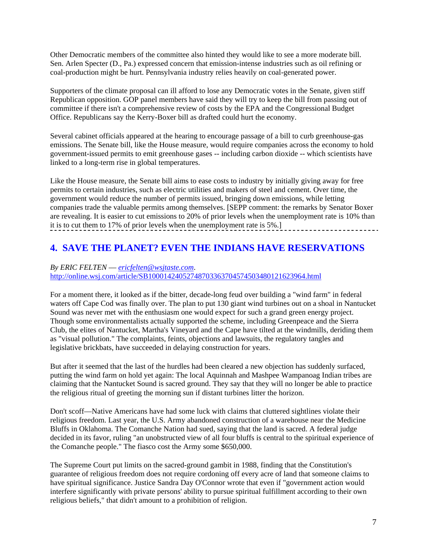Other Democratic members of the committee also hinted they would like to see a more moderate bill. Sen. Arlen Specter (D., Pa.) expressed concern that emission-intense industries such as oil refining or coal-production might be hurt. Pennsylvania industry relies heavily on coal-generated power.

Supporters of the climate proposal can ill afford to lose any Democratic votes in the Senate, given stiff Republican opposition. GOP panel members have said they will try to keep the bill from passing out of committee if there isn't a comprehensive review of costs by the EPA and the Congressional Budget Office. Republicans say the Kerry-Boxer bill as drafted could hurt the economy.

Several cabinet officials appeared at the hearing to encourage passage of a bill to curb greenhouse-gas emissions. The Senate bill, like the House measure, would require companies across the economy to hold government-issued permits to emit greenhouse gases -- including carbon dioxide -- which scientists have linked to a long-term rise in global temperatures.

Like the House measure, the Senate bill aims to ease costs to industry by initially giving away for free permits to certain industries, such as electric utilities and makers of steel and cement. Over time, the government would reduce the number of permits issued, bringing down emissions, while letting companies trade the valuable permits among themselves. [SEPP comment: the remarks by Senator Boxer are revealing. It is easier to cut emissions to 20% of prior levels when the unemployment rate is 10% than it is to cut them to 17% of prior levels when the unemployment rate is 5%.]

## **4. SAVE THE PLANET? EVEN THE INDIANS HAVE RESERVATIONS**

#### *By ERIC FELTEN* — *ericfelten@wsjtaste.com*.

http://online.wsj.com/article/SB10001424052748703363704574503480121623964.html

For a moment there, it looked as if the bitter, decade-long feud over building a "wind farm" in federal waters off Cape Cod was finally over. The plan to put 130 giant wind turbines out on a shoal in Nantucket Sound was never met with the enthusiasm one would expect for such a grand green energy project. Though some environmentalists actually supported the scheme, including Greenpeace and the Sierra Club, the elites of Nantucket, Martha's Vineyard and the Cape have tilted at the windmills, deriding them as "visual pollution." The complaints, feints, objections and lawsuits, the regulatory tangles and legislative brickbats, have succeeded in delaying construction for years.

But after it seemed that the last of the hurdles had been cleared a new objection has suddenly surfaced, putting the wind farm on hold yet again: The local Aquinnah and Mashpee Wampanoag Indian tribes are claiming that the Nantucket Sound is sacred ground. They say that they will no longer be able to practice the religious ritual of greeting the morning sun if distant turbines litter the horizon.

Don't scoff—Native Americans have had some luck with claims that cluttered sightlines violate their religious freedom. Last year, the U.S. Army abandoned construction of a warehouse near the Medicine Bluffs in Oklahoma. The Comanche Nation had sued, saying that the land is sacred. A federal judge decided in its favor, ruling "an unobstructed view of all four bluffs is central to the spiritual experience of the Comanche people." The fiasco cost the Army some \$650,000.

The Supreme Court put limits on the sacred-ground gambit in 1988, finding that the Constitution's guarantee of religious freedom does not require cordoning off every acre of land that someone claims to have spiritual significance. Justice Sandra Day O'Connor wrote that even if "government action would interfere significantly with private persons' ability to pursue spiritual fulfillment according to their own religious beliefs," that didn't amount to a prohibition of religion.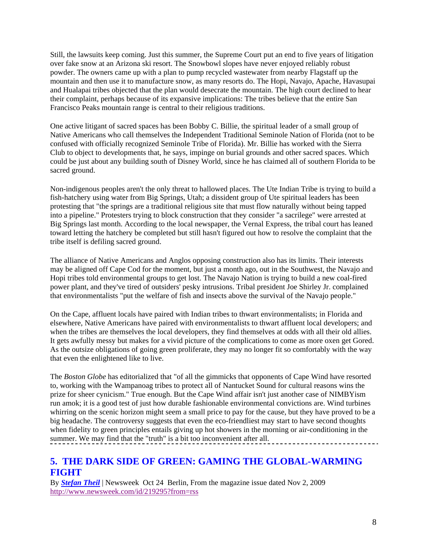Still, the lawsuits keep coming. Just this summer, the Supreme Court put an end to five years of litigation over fake snow at an Arizona ski resort. The Snowbowl slopes have never enjoyed reliably robust powder. The owners came up with a plan to pump recycled wastewater from nearby Flagstaff up the mountain and then use it to manufacture snow, as many resorts do. The Hopi, Navajo, Apache, Havasupai and Hualapai tribes objected that the plan would desecrate the mountain. The high court declined to hear their complaint, perhaps because of its expansive implications: The tribes believe that the entire San Francisco Peaks mountain range is central to their religious traditions.

One active litigant of sacred spaces has been Bobby C. Billie, the spiritual leader of a small group of Native Americans who call themselves the Independent Traditional Seminole Nation of Florida (not to be confused with officially recognized Seminole Tribe of Florida). Mr. Billie has worked with the Sierra Club to object to developments that, he says, impinge on burial grounds and other sacred spaces. Which could be just about any building south of Disney World, since he has claimed all of southern Florida to be sacred ground.

Non-indigenous peoples aren't the only threat to hallowed places. The Ute Indian Tribe is trying to build a fish-hatchery using water from Big Springs, Utah; a dissident group of Ute spiritual leaders has been protesting that "the springs are a traditional religious site that must flow naturally without being tapped into a pipeline." Protesters trying to block construction that they consider "a sacrilege" were arrested at Big Springs last month. According to the local newspaper, the Vernal Express, the tribal court has leaned toward letting the hatchery be completed but still hasn't figured out how to resolve the complaint that the tribe itself is defiling sacred ground.

The alliance of Native Americans and Anglos opposing construction also has its limits. Their interests may be aligned off Cape Cod for the moment, but just a month ago, out in the Southwest, the Navajo and Hopi tribes told environmental groups to get lost. The Navajo Nation is trying to build a new coal-fired power plant, and they've tired of outsiders' pesky intrusions. Tribal president Joe Shirley Jr. complained that environmentalists "put the welfare of fish and insects above the survival of the Navajo people."

On the Cape, affluent locals have paired with Indian tribes to thwart environmentalists; in Florida and elsewhere, Native Americans have paired with environmentalists to thwart affluent local developers; and when the tribes are themselves the local developers, they find themselves at odds with all their old allies. It gets awfully messy but makes for a vivid picture of the complications to come as more oxen get Gored. As the outsize obligations of going green proliferate, they may no longer fit so comfortably with the way that even the enlightened like to live.

The *Boston Globe* has editorialized that "of all the gimmicks that opponents of Cape Wind have resorted to, working with the Wampanoag tribes to protect all of Nantucket Sound for cultural reasons wins the prize for sheer cynicism." True enough. But the Cape Wind affair isn't just another case of NIMBYism run amok; it is a good test of just how durable fashionable environmental convictions are. Wind turbines whirring on the scenic horizon might seem a small price to pay for the cause, but they have proved to be a big headache. The controversy suggests that even the eco-friendliest may start to have second thoughts when fidelity to green principles entails giving up hot showers in the morning or air-conditioning in the summer. We may find that the "truth" is a bit too inconvenient after all.

## **5. THE DARK SIDE OF GREEN: GAMING THE GLOBAL-WARMING FIGHT**

By *Stefan Theil* | Newsweek Oct 24 Berlin, From the magazine issue dated Nov 2, 2009 http://www.newsweek.com/id/219295?from=rss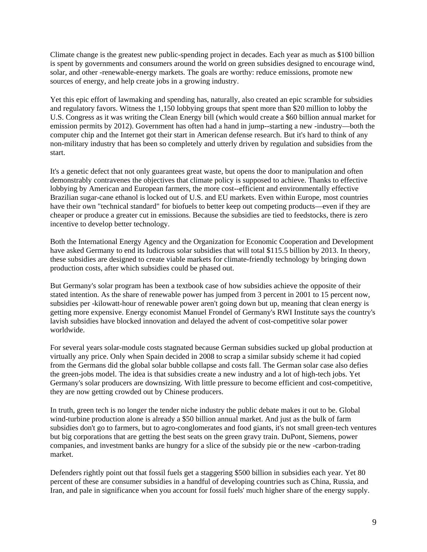Climate change is the greatest new public-spending project in decades. Each year as much as \$100 billion is spent by governments and consumers around the world on green subsidies designed to encourage wind, solar, and other -renewable-energy markets. The goals are worthy: reduce emissions, promote new sources of energy, and help create jobs in a growing industry.

Yet this epic effort of lawmaking and spending has, naturally, also created an epic scramble for subsidies and regulatory favors. Witness the 1,150 lobbying groups that spent more than \$20 million to lobby the U.S. Congress as it was writing the Clean Energy bill (which would create a \$60 billion annual market for emission permits by 2012). Government has often had a hand in jump--starting a new -industry—both the computer chip and the Internet got their start in American defense research. But it's hard to think of any non-military industry that has been so completely and utterly driven by regulation and subsidies from the start.

It's a genetic defect that not only guarantees great waste, but opens the door to manipulation and often demonstrably contravenes the objectives that climate policy is supposed to achieve. Thanks to effective lobbying by American and European farmers, the more cost--efficient and environmentally effective Brazilian sugar-cane ethanol is locked out of U.S. and EU markets. Even within Europe, most countries have their own "technical standard" for biofuels to better keep out competing products—even if they are cheaper or produce a greater cut in emissions. Because the subsidies are tied to feedstocks, there is zero incentive to develop better technology.

Both the International Energy Agency and the Organization for Economic Cooperation and Development have asked Germany to end its ludicrous solar subsidies that will total \$115.5 billion by 2013. In theory, these subsidies are designed to create viable markets for climate-friendly technology by bringing down production costs, after which subsidies could be phased out.

But Germany's solar program has been a textbook case of how subsidies achieve the opposite of their stated intention. As the share of renewable power has jumped from 3 percent in 2001 to 15 percent now, subsidies per -kilowatt-hour of renewable power aren't going down but up, meaning that clean energy is getting more expensive. Energy economist Manuel Frondel of Germany's RWI Institute says the country's lavish subsidies have blocked innovation and delayed the advent of cost-competitive solar power worldwide.

For several years solar-module costs stagnated because German subsidies sucked up global production at virtually any price. Only when Spain decided in 2008 to scrap a similar subsidy scheme it had copied from the Germans did the global solar bubble collapse and costs fall. The German solar case also defies the green-jobs model. The idea is that subsidies create a new industry and a lot of high-tech jobs. Yet Germany's solar producers are downsizing. With little pressure to become efficient and cost-competitive, they are now getting crowded out by Chinese producers.

In truth, green tech is no longer the tender niche industry the public debate makes it out to be. Global wind-turbine production alone is already a \$50 billion annual market. And just as the bulk of farm subsidies don't go to farmers, but to agro-conglomerates and food giants, it's not small green-tech ventures but big corporations that are getting the best seats on the green gravy train. DuPont, Siemens, power companies, and investment banks are hungry for a slice of the subsidy pie or the new -carbon-trading market.

Defenders rightly point out that fossil fuels get a staggering \$500 billion in subsidies each year. Yet 80 percent of these are consumer subsidies in a handful of developing countries such as China, Russia, and Iran, and pale in significance when you account for fossil fuels' much higher share of the energy supply.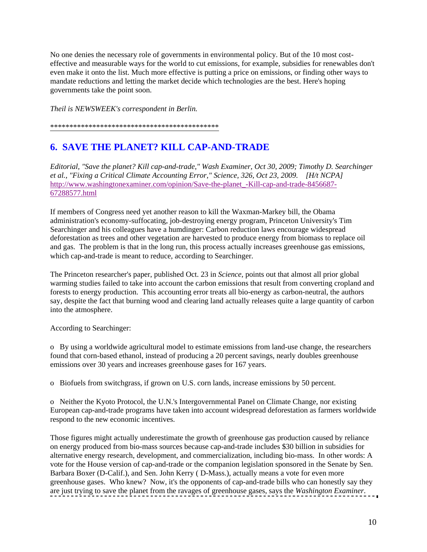No one denies the necessary role of governments in environmental policy. But of the 10 most costeffective and measurable ways for the world to cut emissions, for example, subsidies for renewables don't even make it onto the list. Much more effective is putting a price on emissions, or finding other ways to mandate reductions and letting the market decide which technologies are the best. Here's hoping governments take the point soon.

*Theil is NEWSWEEK's correspondent in Berlin.*

\*\*\*\*\*\*\*\*\*\*\*\*\*\*\*\*\*\*\*\*\*\*\*\*\*\*\*\*\*\*\*\*\*\*\*\*\*\*\*\*\*\*\*\*

## **6. SAVE THE PLANET? KILL CAP-AND-TRADE**

*Editorial, "Save the planet? Kill cap-and-trade," Wash Examiner, Oct 30, 2009; Timothy D. Searchinger et al., "Fixing a Critical Climate Accounting Error," Science, 326, Oct 23, 2009. [H/t NCPA]*  http://www.washingtonexaminer.com/opinion/Save-the-planet\_-Kill-cap-and-trade-8456687- 67288577.html

If members of Congress need yet another reason to kill the Waxman-Markey bill, the Obama administration's economy-suffocating, job-destroying energy program, Princeton University's Tim Searchinger and his colleagues have a humdinger: Carbon reduction laws encourage widespread deforestation as trees and other vegetation are harvested to produce energy from biomass to replace oil and gas. The problem is that in the long run, this process actually increases greenhouse gas emissions, which cap-and-trade is meant to reduce, according to Searchinger.

The Princeton researcher's paper, published Oct. 23 in *Science*, points out that almost all prior global warming studies failed to take into account the carbon emissions that result from converting cropland and forests to energy production. This accounting error treats all bio-energy as carbon-neutral, the authors say, despite the fact that burning wood and clearing land actually releases quite a large quantity of carbon into the atmosphere.

According to Searchinger:

o By using a worldwide agricultural model to estimate emissions from land-use change, the researchers found that corn-based ethanol, instead of producing a 20 percent savings, nearly doubles greenhouse emissions over 30 years and increases greenhouse gases for 167 years.

o Biofuels from switchgrass, if grown on U.S. corn lands, increase emissions by 50 percent.

o Neither the Kyoto Protocol, the U.N.'s Intergovernmental Panel on Climate Change, nor existing European cap-and-trade programs have taken into account widespread deforestation as farmers worldwide respond to the new economic incentives.

Those figures might actually underestimate the growth of greenhouse gas production caused by reliance on energy produced from bio-mass sources because cap-and-trade includes \$30 billion in subsidies for alternative energy research, development, and commercialization, including bio-mass. In other words: A vote for the House version of cap-and-trade or the companion legislation sponsored in the Senate by Sen. Barbara Boxer (D-Calif.), and Sen. John Kerry ( D-Mass.), actually means a vote for even more greenhouse gases. Who knew? Now, it's the opponents of cap-and-trade bills who can honestly say they are just trying to save the planet from the ravages of greenhouse gases, says the *Washington Examiner*.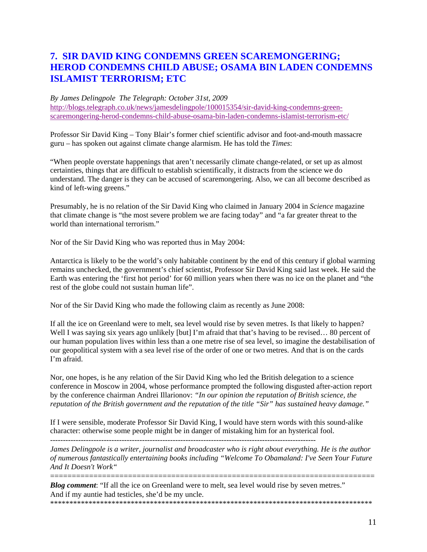## **7. SIR DAVID KING CONDEMNS GREEN SCAREMONGERING; HEROD CONDEMNS CHILD ABUSE; OSAMA BIN LADEN CONDEMNS ISLAMIST TERRORISM; ETC**

*By James Delingpole The Telegraph: October 31st, 2009* 

http://blogs.telegraph.co.uk/news/jamesdelingpole/100015354/sir-david-king-condemns-greenscaremongering-herod-condemns-child-abuse-osama-bin-laden-condemns-islamist-terrorism-etc/

Professor Sir David King – Tony Blair's former chief scientific advisor and foot-and-mouth massacre guru – has spoken out against climate change alarmism. He has told the *Times*:

"When people overstate happenings that aren't necessarily climate change-related, or set up as almost certainties, things that are difficult to establish scientifically, it distracts from the science we do understand. The danger is they can be accused of scaremongering. Also, we can all become described as kind of left-wing greens."

Presumably, he is no relation of the Sir David King who claimed in January 2004 in *Science* magazine that climate change is "the most severe problem we are facing today" and "a far greater threat to the world than international terrorism."

Nor of the Sir David King who was reported thus in May 2004:

Antarctica is likely to be the world's only habitable continent by the end of this century if global warming remains unchecked, the government's chief scientist, Professor Sir David King said last week. He said the Earth was entering the 'first hot period' for 60 million years when there was no ice on the planet and "the rest of the globe could not sustain human life".

Nor of the Sir David King who made the following claim as recently as June 2008:

If all the ice on Greenland were to melt, sea level would rise by seven metres. Is that likely to happen? Well I was saying six years ago unlikely [but] I'm afraid that that's having to be revised... 80 percent of our human population lives within less than a one metre rise of sea level, so imagine the destabilisation of our geopolitical system with a sea level rise of the order of one or two metres. And that is on the cards I'm afraid.

Nor, one hopes, is he any relation of the Sir David King who led the British delegation to a science conference in Moscow in 2004, whose performance prompted the following disgusted after-action report by the conference chairman Andrei Illarionov: *"In our opinion the reputation of British science, the reputation of the British government and the reputation of the title "Sir" has sustained heavy damage."* 

If I were sensible, moderate Professor Sir David King, I would have stern words with this sound-alike character: otherwise some people might be in danger of mistaking him for an hysterical fool.

--------------------------------------------------------------------------------------------------------

*James Delingpole is a writer, journalist and broadcaster who is right about everything. He is the author of numerous fantastically entertaining books including "Welcome To Obamaland: I've Seen Your Future And It Doesn't Work"* 

===========================================================================

**Blog comment:** "If all the ice on Greenland were to melt, sea level would rise by seven metres." And if my auntie had testicles, she'd be my uncle. \*\*\*\*\*\*\*\*\*\*\*\*\*\*\*\*\*\*\*\*\*\*\*\*\*\*\*\*\*\*\*\*\*\*\*\*\*\*\*\*\*\*\*\*\*\*\*\*\*\*\*\*\*\*\*\*\*\*\*\*\*\*\*\*\*\*\*\*\*\*\*\*\*\*\*\*\*\*\*\*\*\*\*\*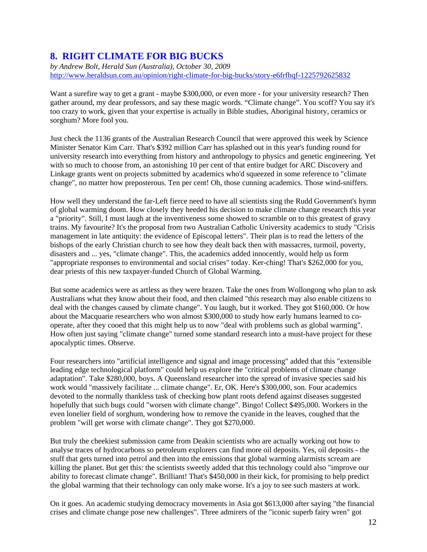## **8. RIGHT CLIMATE FOR BIG BUCKS**

*by Andrew Bolt, Herald Sun (Australia), October 30, 2009*  http://www.heraldsun.com.au/opinion/right-climate-for-big-bucks/story-e6frfhqf-1225792625832

Want a surefire way to get a grant - maybe \$300,000, or even more - for your university research? Then gather around, my dear professors, and say these magic words. "Climate change". You scoff? You say it's too crazy to work, given that your expertise is actually in Bible studies, Aboriginal history, ceramics or sorghum? More fool you.

Just check the 1136 grants of the Australian Research Council that were approved this week by Science Minister Senator Kim Carr. That's \$392 million Carr has splashed out in this year's funding round for university research into everything from history and anthropology to physics and genetic engineering. Yet with so much to choose from, an astonishing 10 per cent of that entire budget for ARC Discovery and Linkage grants went on projects submitted by academics who'd squeezed in some reference to "climate change", no matter how preposterous. Ten per cent! Oh, those cunning academics. Those wind-sniffers.

How well they understand the far-Left fierce need to have all scientists sing the Rudd Government's hymn of global warming doom. How closely they heeded his decision to make climate change research this year a "priority". Still, I must laugh at the inventiveness some showed to scramble on to this greatest of gravy trains. My favourite? It's the proposal from two Australian Catholic University academics to study "Crisis management in late antiquity: the evidence of Episcopal letters". Their plan is to read the letters of the bishops of the early Christian church to see how they dealt back then with massacres, turmoil, poverty, disasters and ... yes, "climate change". This, the academics added innocently, would help us form "appropriate responses to environmental and social crises" today. Ker-ching! That's \$262,000 for you, dear priests of this new taxpayer-funded Church of Global Warming.

But some academics were as artless as they were brazen. Take the ones from Wollongong who plan to ask Australians what they know about their food, and then claimed "this research may also enable citizens to deal with the changes caused by climate change". You laugh, but it worked. They got \$160,000. Or how about the Macquarie researchers who won almost \$300,000 to study how early humans learned to cooperate, after they cooed that this might help us to now "deal with problems such as global warming". How often just saying "climate change" turned some standard research into a must-have project for these apocalyptic times. Observe.

Four researchers into "artificial intelligence and signal and image processing" added that this "extensible leading edge technological platform" could help us explore the "critical problems of climate change adaptation". Take \$280,000, boys. A Queensland researcher into the spread of invasive species said his work would "massively facilitate ... climate change". Er, OK. Here's \$300,000, son. Four academics devoted to the normally thankless task of checking how plant roots defend against diseases suggested hopefully that such bugs could "worsen with climate change". Bingo! Collect \$495,000. Workers in the even lonelier field of sorghum, wondering how to remove the cyanide in the leaves, coughed that the problem "will get worse with climate change". They got \$270,000.

But truly the cheekiest submission came from Deakin scientists who are actually working out how to analyse traces of hydrocarbons so petroleum explorers can find more oil deposits. Yes, oil deposits - the stuff that gets turned into petrol and then into the emissions that global warming alarmists scream are killing the planet. But get this: the scientists sweetly added that this technology could also "improve our ability to forecast climate change". Brilliant! That's \$450,000 in their kick, for promising to help predict the global warming that their technology can only make worse. It's a joy to see such masters at work.

On it goes. An academic studying democracy movements in Asia got \$613,000 after saying "the financial crises and climate change pose new challenges". Three admirers of the "iconic superb fairy wren" got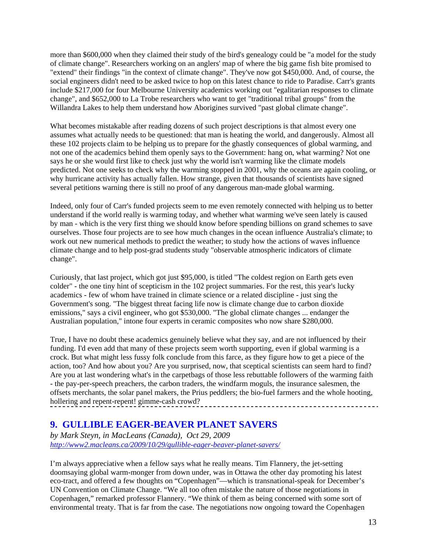more than \$600,000 when they claimed their study of the bird's genealogy could be "a model for the study of climate change". Researchers working on an anglers' map of where the big game fish bite promised to "extend" their findings "in the context of climate change". They've now got \$450,000. And, of course, the social engineers didn't need to be asked twice to hop on this latest chance to ride to Paradise. Carr's grants include \$217,000 for four Melbourne University academics working out "egalitarian responses to climate change", and \$652,000 to La Trobe researchers who want to get "traditional tribal groups" from the Willandra Lakes to help them understand how Aborigines survived "past global climate change".

What becomes mistakable after reading dozens of such project descriptions is that almost every one assumes what actually needs to be questioned: that man is heating the world, and dangerously. Almost all these 102 projects claim to be helping us to prepare for the ghastly consequences of global warming, and not one of the academics behind them openly says to the Government: hang on, what warming? Not one says he or she would first like to check just why the world isn't warming like the climate models predicted. Not one seeks to check why the warming stopped in 2001, why the oceans are again cooling, or why hurricane activity has actually fallen. How strange, given that thousands of scientists have signed several petitions warning there is still no proof of any dangerous man-made global warming.

Indeed, only four of Carr's funded projects seem to me even remotely connected with helping us to better understand if the world really is warming today, and whether what warming we've seen lately is caused by man - which is the very first thing we should know before spending billions on grand schemes to save ourselves. Those four projects are to see how much changes in the ocean influence Australia's climate; to work out new numerical methods to predict the weather; to study how the actions of waves influence climate change and to help post-grad students study "observable atmospheric indicators of climate change".

Curiously, that last project, which got just \$95,000, is titled "The coldest region on Earth gets even colder" - the one tiny hint of scepticism in the 102 project summaries. For the rest, this year's lucky academics - few of whom have trained in climate science or a related discipline - just sing the Government's song. "The biggest threat facing life now is climate change due to carbon dioxide emissions," says a civil engineer, who got \$530,000. "The global climate changes ... endanger the Australian population," intone four experts in ceramic composites who now share \$280,000.

True, I have no doubt these academics genuinely believe what they say, and are not influenced by their funding. I'd even add that many of these projects seem worth supporting, even if global warming is a crock. But what might less fussy folk conclude from this farce, as they figure how to get a piece of the action, too? And how about you? Are you surprised, now, that sceptical scientists can seem hard to find? Are you at last wondering what's in the carpetbags of those less rebuttable followers of the warming faith - the pay-per-speech preachers, the carbon traders, the windfarm moguls, the insurance salesmen, the offsets merchants, the solar panel makers, the Prius peddlers; the bio-fuel farmers and the whole hooting, hollering and repent-repent! gimme-cash crowd? 

### **9. GULLIBLE EAGER-BEAVER PLANET SAVERS**

*by Mark Steyn, in MacLeans (Canada), Oct 29, 2009 http://www2.macleans.ca/2009/10/29/gullible-eager-beaver-planet-savers/*

I'm always appreciative when a fellow says what he really means. Tim Flannery, the jet-setting doomsaying global warm-monger from down under, was in Ottawa the other day promoting his latest eco-tract, and offered a few thoughts on "Copenhagen"—which is transnational-speak for December's UN Convention on Climate Change. "We all too often mistake the nature of those negotiations in Copenhagen," remarked professor Flannery. "We think of them as being concerned with some sort of environmental treaty. That is far from the case. The negotiations now ongoing toward the Copenhagen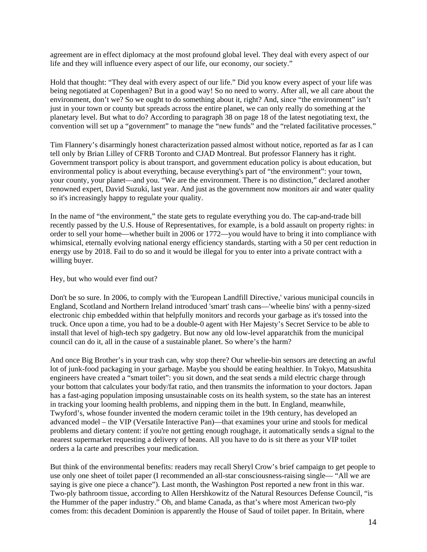agreement are in effect diplomacy at the most profound global level. They deal with every aspect of our life and they will influence every aspect of our life, our economy, our society."

Hold that thought: "They deal with every aspect of our life." Did you know every aspect of your life was being negotiated at Copenhagen? But in a good way! So no need to worry. After all, we all care about the environment, don't we? So we ought to do something about it, right? And, since "the environment" isn't just in your town or county but spreads across the entire planet, we can only really do something at the planetary level. But what to do? According to paragraph 38 on page 18 of the latest negotiating text, the convention will set up a "government" to manage the "new funds" and the "related facilitative processes."

Tim Flannery's disarmingly honest characterization passed almost without notice, reported as far as I can tell only by Brian Lilley of CFRB Toronto and CJAD Montreal. But professor Flannery has it right. Government transport policy is about transport, and government education policy is about education, but environmental policy is about everything, because everything's part of "the environment": your town, your county, your planet—and you. "We are the environment. There is no distinction," declared another renowned expert, David Suzuki, last year. And just as the government now monitors air and water quality so it's increasingly happy to regulate your quality.

In the name of "the environment," the state gets to regulate everything you do. The cap-and-trade bill recently passed by the U.S. House of Representatives, for example, is a bold assault on property rights: in order to sell your home—whether built in 2006 or 1772—you would have to bring it into compliance with whimsical, eternally evolving national energy efficiency standards, starting with a 50 per cent reduction in energy use by 2018. Fail to do so and it would be illegal for you to enter into a private contract with a willing buyer.

#### Hey, but who would ever find out?

Don't be so sure. In 2006, to comply with the 'European Landfill Directive,' various municipal councils in England, Scotland and Northern Ireland introduced 'smart' trash cans—'wheelie bins' with a penny-sized electronic chip embedded within that helpfully monitors and records your garbage as it's tossed into the truck. Once upon a time, you had to be a double-0 agent with Her Majesty's Secret Service to be able to install that level of high-tech spy gadgetry. But now any old low-level apparatchik from the municipal council can do it, all in the cause of a sustainable planet. So where's the harm?

And once Big Brother's in your trash can, why stop there? Our wheelie-bin sensors are detecting an awful lot of junk-food packaging in your garbage. Maybe you should be eating healthier. In Tokyo, Matsushita engineers have created a "smart toilet": you sit down, and the seat sends a mild electric charge through your bottom that calculates your body/fat ratio, and then transmits the information to your doctors. Japan has a fast-aging population imposing unsustainable costs on its health system, so the state has an interest in tracking your looming health problems, and nipping them in the butt. In England, meanwhile, Twyford's, whose founder invented the modern ceramic toilet in the 19th century, has developed an advanced model – the VIP (Versatile Interactive Pan)—that examines your urine and stools for medical problems and dietary content: if you're not getting enough roughage, it automatically sends a signal to the nearest supermarket requesting a delivery of beans. All you have to do is sit there as your VIP toilet orders a la carte and prescribes your medication.

But think of the environmental benefits: readers may recall Sheryl Crow's brief campaign to get people to use only one sheet of toilet paper (I recommended an all-star consciousness-raising single— "All we are saying is give one piece a chance"). Last month, the Washington Post reported a new front in this war. Two-ply bathroom tissue, according to Allen Hershkowitz of the Natural Resources Defense Council, "is the Hummer of the paper industry." Oh, and blame Canada, as that's where most American two-ply comes from: this decadent Dominion is apparently the House of Saud of toilet paper. In Britain, where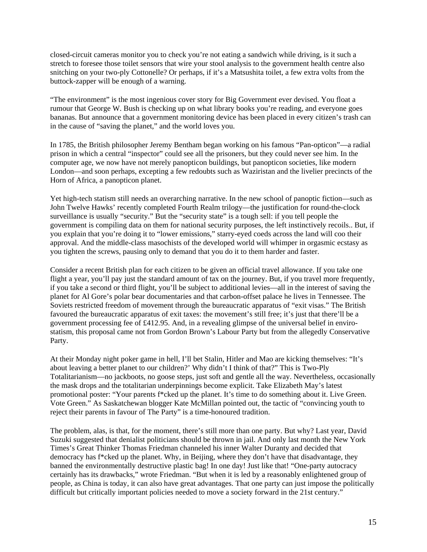closed-circuit cameras monitor you to check you're not eating a sandwich while driving, is it such a stretch to foresee those toilet sensors that wire your stool analysis to the government health centre also snitching on your two-ply Cottonelle? Or perhaps, if it's a Matsushita toilet, a few extra volts from the buttock-zapper will be enough of a warning.

"The environment" is the most ingenious cover story for Big Government ever devised. You float a rumour that George W. Bush is checking up on what library books you're reading, and everyone goes bananas. But announce that a government monitoring device has been placed in every citizen's trash can in the cause of "saving the planet," and the world loves you.

In 1785, the British philosopher Jeremy Bentham began working on his famous "Pan-opticon"—a radial prison in which a central "inspector" could see all the prisoners, but they could never see him. In the computer age, we now have not merely panopticon buildings, but panopticon societies, like modern London—and soon perhaps, excepting a few redoubts such as Waziristan and the livelier precincts of the Horn of Africa, a panopticon planet.

Yet high-tech statism still needs an overarching narrative. In the new school of panoptic fiction—such as John Twelve Hawks' recently completed Fourth Realm trilogy—the justification for round-the-clock surveillance is usually "security." But the "security state" is a tough sell: if you tell people the government is compiling data on them for national security purposes, the left instinctively recoils.. But, if you explain that you're doing it to "lower emissions," starry-eyed coeds across the land will coo their approval. And the middle-class masochists of the developed world will whimper in orgasmic ecstasy as you tighten the screws, pausing only to demand that you do it to them harder and faster.

Consider a recent British plan for each citizen to be given an official travel allowance. If you take one flight a year, you'll pay just the standard amount of tax on the journey. But, if you travel more frequently, if you take a second or third flight, you'll be subject to additional levies—all in the interest of saving the planet for Al Gore's polar bear documentaries and that carbon-offset palace he lives in Tennessee. The Soviets restricted freedom of movement through the bureaucratic apparatus of "exit visas." The British favoured the bureaucratic apparatus of exit taxes: the movement's still free; it's just that there'll be a government processing fee of £412.95. And, in a revealing glimpse of the universal belief in envirostatism, this proposal came not from Gordon Brown's Labour Party but from the allegedly Conservative Party.

At their Monday night poker game in hell, I'll bet Stalin, Hitler and Mao are kicking themselves: "It's about leaving a better planet to our children?' Why didn't I think of that?" This is Two-Ply Totalitarianism—no jackboots, no goose steps, just soft and gentle all the way. Nevertheless, occasionally the mask drops and the totalitarian underpinnings become explicit. Take Elizabeth May's latest promotional poster: "Your parents f\*cked up the planet. It's time to do something about it. Live Green. Vote Green." As Saskatchewan blogger Kate McMillan pointed out, the tactic of "convincing youth to reject their parents in favour of The Party" is a time-honoured tradition.

The problem, alas, is that, for the moment, there's still more than one party. But why? Last year, David Suzuki suggested that denialist politicians should be thrown in jail. And only last month the New York Times's Great Thinker Thomas Friedman channeled his inner Walter Duranty and decided that democracy has f\*cked up the planet. Why, in Beijing, where they don't have that disadvantage, they banned the environmentally destructive plastic bag! In one day! Just like that! "One-party autocracy certainly has its drawbacks," wrote Friedman. "But when it is led by a reasonably enlightened group of people, as China is today, it can also have great advantages. That one party can just impose the politically difficult but critically important policies needed to move a society forward in the 21st century."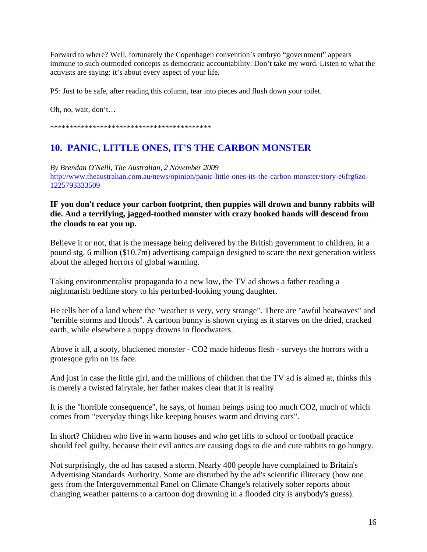Forward to where? Well, fortunately the Copenhagen convention's embryo "government" appears immune to such outmoded concepts as democratic accountability. Don't take my word. Listen to what the activists are saying: it's about every aspect of your life.

PS: Just to be safe, after reading this column, tear into pieces and flush down your toilet.

Oh, no, wait, don't…

\*\*\*\*\*\*\*\*\*\*\*\*\*\*\*\*\*\*\*\*\*\*\*\*\*\*\*\*\*\*\*\*\*\*\*\*\*\*\*\*\*\*

## **10. PANIC, LITTLE ONES, IT'S THE CARBON MONSTER**

*By Brendan O'Neill, The Australian, 2 November 2009*  http://www.theaustralian.com.au/news/opinion/panic-little-ones-its-the-carbon-monster/story-e6frg6zo-1225793333509

#### **IF you don't reduce your carbon footprint, then puppies will drown and bunny rabbits will die. And a terrifying, jagged-toothed monster with crazy hooked hands will descend from the clouds to eat you up.**

Believe it or not, that is the message being delivered by the British government to children, in a pound stg. 6 million (\$10.7m) advertising campaign designed to scare the next generation witless about the alleged horrors of global warming.

Taking environmentalist propaganda to a new low, the TV ad shows a father reading a nightmarish bedtime story to his perturbed-looking young daughter.

He tells her of a land where the "weather is very, very strange". There are "awful heatwaves" and "terrible storms and floods". A cartoon bunny is shown crying as it starves on the dried, cracked earth, while elsewhere a puppy drowns in floodwaters.

Above it all, a sooty, blackened monster - CO2 made hideous flesh - surveys the horrors with a grotesque grin on its face.

And just in case the little girl, and the millions of children that the TV ad is aimed at, thinks this is merely a twisted fairytale, her father makes clear that it is reality.

It is the "horrible consequence", he says, of human beings using too much CO2, much of which comes from "everyday things like keeping houses warm and driving cars".

In short? Children who live in warm houses and who get lifts to school or football practice should feel guilty, because their evil antics are causing dogs to die and cute rabbits to go hungry.

Not surprisingly, the ad has caused a storm. Nearly 400 people have complained to Britain's Advertising Standards Authority. Some are disturbed by the ad's scientific illiteracy (how one gets from the Intergovernmental Panel on Climate Change's relatively sober reports about changing weather patterns to a cartoon dog drowning in a flooded city is anybody's guess).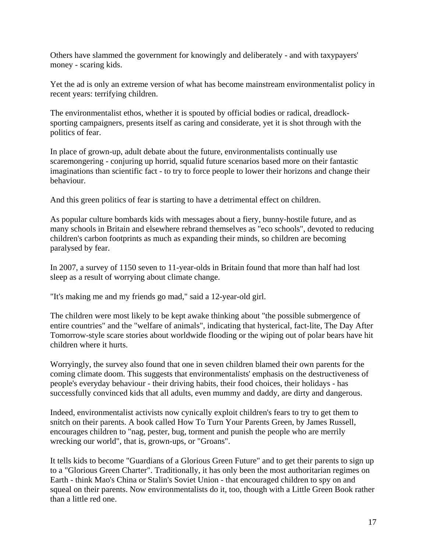Others have slammed the government for knowingly and deliberately - and with taxypayers' money - scaring kids.

Yet the ad is only an extreme version of what has become mainstream environmentalist policy in recent years: terrifying children.

The environmentalist ethos, whether it is spouted by official bodies or radical, dreadlocksporting campaigners, presents itself as caring and considerate, yet it is shot through with the politics of fear.

In place of grown-up, adult debate about the future, environmentalists continually use scaremongering - conjuring up horrid, squalid future scenarios based more on their fantastic imaginations than scientific fact - to try to force people to lower their horizons and change their behaviour.

And this green politics of fear is starting to have a detrimental effect on children.

As popular culture bombards kids with messages about a fiery, bunny-hostile future, and as many schools in Britain and elsewhere rebrand themselves as "eco schools", devoted to reducing children's carbon footprints as much as expanding their minds, so children are becoming paralysed by fear.

In 2007, a survey of 1150 seven to 11-year-olds in Britain found that more than half had lost sleep as a result of worrying about climate change.

"It's making me and my friends go mad," said a 12-year-old girl.

The children were most likely to be kept awake thinking about "the possible submergence of entire countries" and the "welfare of animals", indicating that hysterical, fact-lite, The Day After Tomorrow-style scare stories about worldwide flooding or the wiping out of polar bears have hit children where it hurts.

Worryingly, the survey also found that one in seven children blamed their own parents for the coming climate doom. This suggests that environmentalists' emphasis on the destructiveness of people's everyday behaviour - their driving habits, their food choices, their holidays - has successfully convinced kids that all adults, even mummy and daddy, are dirty and dangerous.

Indeed, environmentalist activists now cynically exploit children's fears to try to get them to snitch on their parents. A book called How To Turn Your Parents Green, by James Russell, encourages children to "nag, pester, bug, torment and punish the people who are merrily wrecking our world", that is, grown-ups, or "Groans".

It tells kids to become "Guardians of a Glorious Green Future" and to get their parents to sign up to a "Glorious Green Charter". Traditionally, it has only been the most authoritarian regimes on Earth - think Mao's China or Stalin's Soviet Union - that encouraged children to spy on and squeal on their parents. Now environmentalists do it, too, though with a Little Green Book rather than a little red one.